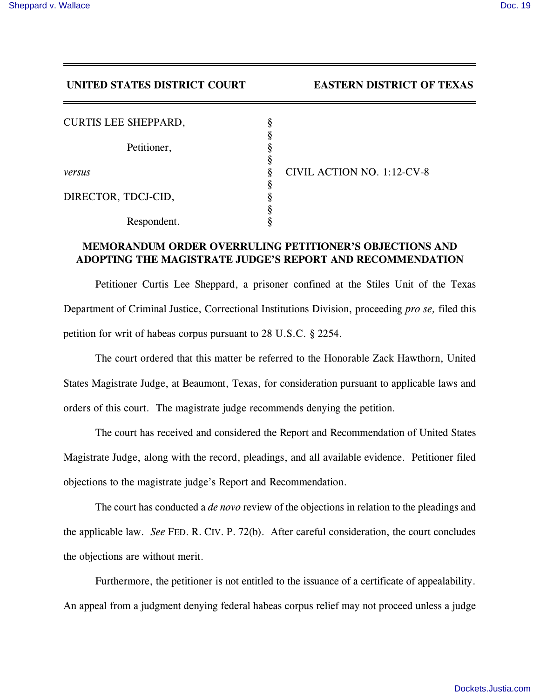## **UNITED STATES DISTRICT COURT EASTERN DISTRICT OF TEXAS**

| <b>CURTIS LEE SHEPPARD,</b> |                            |
|-----------------------------|----------------------------|
|                             |                            |
| Petitioner,                 |                            |
|                             |                            |
| versus                      | CIVIL ACTION NO. 1:12-CV-8 |
|                             |                            |
| DIRECTOR, TDCJ-CID,         |                            |
|                             |                            |
| Respondent.                 |                            |

## **MEMORANDUM ORDER OVERRULING PETITIONER'S OBJECTIONS AND ADOPTING THE MAGISTRATE JUDGE'S REPORT AND RECOMMENDATION**

Petitioner Curtis Lee Sheppard, a prisoner confined at the Stiles Unit of the Texas Department of Criminal Justice, Correctional Institutions Division, proceeding *pro se,* filed this petition for writ of habeas corpus pursuant to 28 U.S.C. § 2254.

The court ordered that this matter be referred to the Honorable Zack Hawthorn, United States Magistrate Judge, at Beaumont, Texas, for consideration pursuant to applicable laws and orders of this court. The magistrate judge recommends denying the petition.

The court has received and considered the Report and Recommendation of United States Magistrate Judge, along with the record, pleadings, and all available evidence. Petitioner filed objections to the magistrate judge's Report and Recommendation.

The court has conducted a *de novo* review of the objections in relation to the pleadings and the applicable law. *See* FED. R. CIV. P. 72(b). After careful consideration, the court concludes the objections are without merit.

Furthermore, the petitioner is not entitled to the issuance of a certificate of appealability. An appeal from a judgment denying federal habeas corpus relief may not proceed unless a judge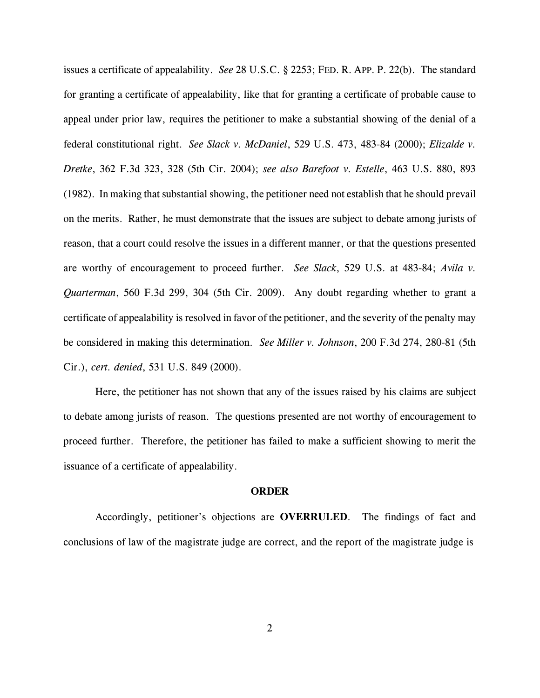issues a certificate of appealability. *See* 28 U.S.C. § 2253; FED. R. APP. P. 22(b). The standard for granting a certificate of appealability, like that for granting a certificate of probable cause to appeal under prior law, requires the petitioner to make a substantial showing of the denial of a federal constitutional right. *See Slack v. McDaniel*, 529 U.S. 473, 483-84 (2000); *Elizalde v. Dretke*, 362 F.3d 323, 328 (5th Cir. 2004); *see also Barefoot v. Estelle*, 463 U.S. 880, 893 (1982). In making that substantial showing, the petitioner need not establish that he should prevail on the merits. Rather, he must demonstrate that the issues are subject to debate among jurists of reason, that a court could resolve the issues in a different manner, or that the questions presented are worthy of encouragement to proceed further. *See Slack*, 529 U.S. at 483-84; *Avila v. Quarterman*, 560 F.3d 299, 304 (5th Cir. 2009). Any doubt regarding whether to grant a certificate of appealability is resolved in favor of the petitioner, and the severity of the penalty may be considered in making this determination. *See Miller v. Johnson*, 200 F.3d 274, 280-81 (5th Cir.), *cert. denied*, 531 U.S. 849 (2000).

Here, the petitioner has not shown that any of the issues raised by his claims are subject to debate among jurists of reason. The questions presented are not worthy of encouragement to proceed further. Therefore, the petitioner has failed to make a sufficient showing to merit the issuance of a certificate of appealability.

## **ORDER**

Accordingly, petitioner's objections are **OVERRULED**. The findings of fact and conclusions of law of the magistrate judge are correct, and the report of the magistrate judge is